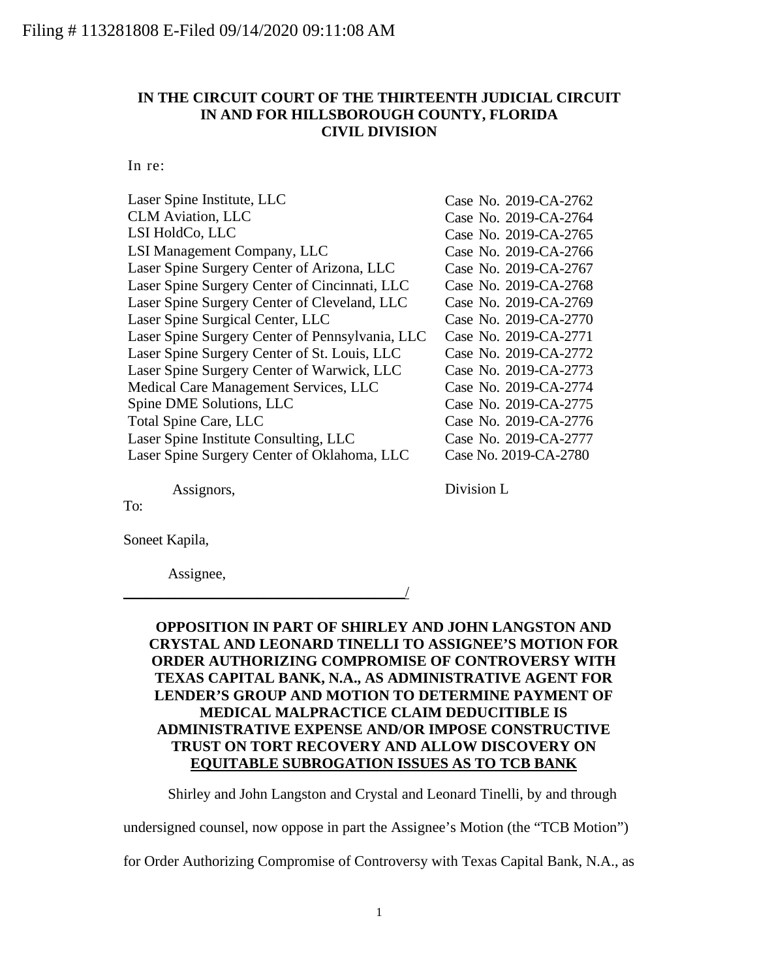## **IN THE CIRCUIT COURT OF THE THIRTEENTH JUDICIAL CIRCUIT IN AND FOR HILLSBOROUGH COUNTY, FLORIDA CIVIL DIVISION**

In re:

| Laser Spine Institute, LLC                      | Case No. 2019-CA-2762 |
|-------------------------------------------------|-----------------------|
| <b>CLM Aviation, LLC</b>                        | Case No. 2019-CA-2764 |
| LSI HoldCo, LLC                                 | Case No. 2019-CA-2765 |
| LSI Management Company, LLC                     | Case No. 2019-CA-2766 |
| Laser Spine Surgery Center of Arizona, LLC      | Case No. 2019-CA-2767 |
| Laser Spine Surgery Center of Cincinnati, LLC   | Case No. 2019-CA-2768 |
| Laser Spine Surgery Center of Cleveland, LLC    | Case No. 2019-CA-2769 |
| Laser Spine Surgical Center, LLC                | Case No. 2019-CA-2770 |
| Laser Spine Surgery Center of Pennsylvania, LLC | Case No. 2019-CA-2771 |
| Laser Spine Surgery Center of St. Louis, LLC    | Case No. 2019-CA-2772 |
| Laser Spine Surgery Center of Warwick, LLC      | Case No. 2019-CA-2773 |
| Medical Care Management Services, LLC           | Case No. 2019-CA-2774 |
| Spine DME Solutions, LLC                        | Case No. 2019-CA-2775 |
| Total Spine Care, LLC                           | Case No. 2019-CA-2776 |
| Laser Spine Institute Consulting, LLC           | Case No. 2019-CA-2777 |
| Laser Spine Surgery Center of Oklahoma, LLC     | Case No. 2019-CA-2780 |
|                                                 |                       |

Assignors,

Division L

To:

Soneet Kapila,

Assignee,

\_\_\_\_\_\_\_\_\_\_\_\_\_\_\_\_\_\_\_\_\_\_\_\_\_\_\_\_\_\_\_\_\_\_\_\_\_\_/

## **OPPOSITION IN PART OF SHIRLEY AND JOHN LANGSTON AND CRYSTAL AND LEONARD TINELLI TO ASSIGNEE'S MOTION FOR ORDER AUTHORIZING COMPROMISE OF CONTROVERSY WITH TEXAS CAPITAL BANK, N.A., AS ADMINISTRATIVE AGENT FOR LENDER'S GROUP AND MOTION TO DETERMINE PAYMENT OF MEDICAL MALPRACTICE CLAIM DEDUCITIBLE IS ADMINISTRATIVE EXPENSE AND/OR IMPOSE CONSTRUCTIVE TRUST ON TORT RECOVERY AND ALLOW DISCOVERY ON EQUITABLE SUBROGATION ISSUES AS TO TCB BANK**

Shirley and John Langston and Crystal and Leonard Tinelli, by and through

undersigned counsel, now oppose in part the Assignee's Motion (the "TCB Motion")

for Order Authorizing Compromise of Controversy with Texas Capital Bank, N.A., as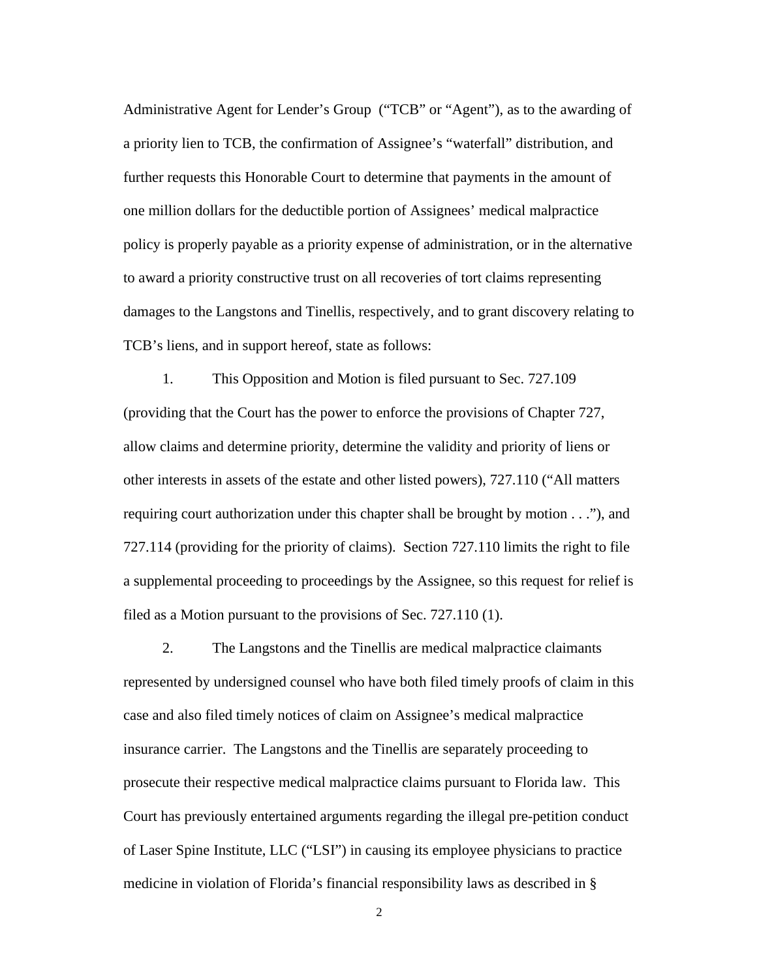Administrative Agent for Lender's Group ("TCB" or "Agent"), as to the awarding of a priority lien to TCB, the confirmation of Assignee's "waterfall" distribution, and further requests this Honorable Court to determine that payments in the amount of one million dollars for the deductible portion of Assignees' medical malpractice policy is properly payable as a priority expense of administration, or in the alternative to award a priority constructive trust on all recoveries of tort claims representing damages to the Langstons and Tinellis, respectively, and to grant discovery relating to TCB's liens, and in support hereof, state as follows:

1. This Opposition and Motion is filed pursuant to Sec. 727.109 (providing that the Court has the power to enforce the provisions of Chapter 727, allow claims and determine priority, determine the validity and priority of liens or other interests in assets of the estate and other listed powers), 727.110 ("All matters requiring court authorization under this chapter shall be brought by motion . . ."), and 727.114 (providing for the priority of claims). Section 727.110 limits the right to file a supplemental proceeding to proceedings by the Assignee, so this request for relief is filed as a Motion pursuant to the provisions of Sec. 727.110 (1).

2. The Langstons and the Tinellis are medical malpractice claimants represented by undersigned counsel who have both filed timely proofs of claim in this case and also filed timely notices of claim on Assignee's medical malpractice insurance carrier. The Langstons and the Tinellis are separately proceeding to prosecute their respective medical malpractice claims pursuant to Florida law. This Court has previously entertained arguments regarding the illegal pre-petition conduct of Laser Spine Institute, LLC ("LSI") in causing its employee physicians to practice medicine in violation of Florida's financial responsibility laws as described in §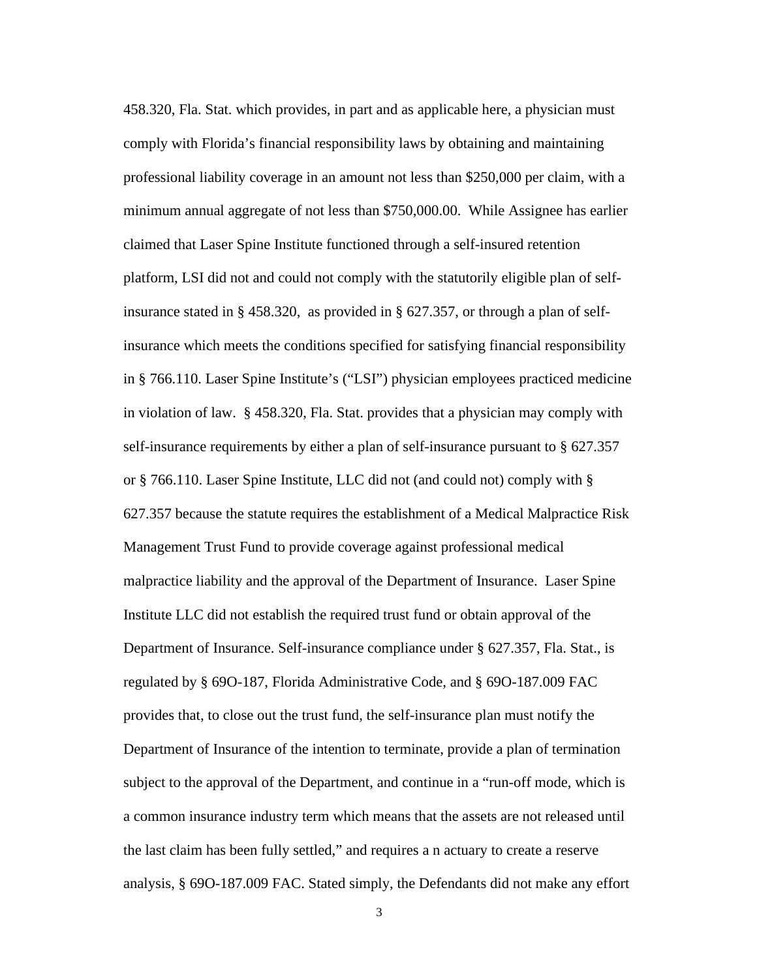458.320, Fla. Stat. which provides, in part and as applicable here, a physician must comply with Florida's financial responsibility laws by obtaining and maintaining professional liability coverage in an amount not less than \$250,000 per claim, with a minimum annual aggregate of not less than \$750,000.00. While Assignee has earlier claimed that Laser Spine Institute functioned through a self-insured retention platform, LSI did not and could not comply with the statutorily eligible plan of selfinsurance stated in § 458.320, as provided in § 627.357, or through a plan of selfinsurance which meets the conditions specified for satisfying financial responsibility in § 766.110. Laser Spine Institute's ("LSI") physician employees practiced medicine in violation of law. § 458.320, Fla. Stat. provides that a physician may comply with self-insurance requirements by either a plan of self-insurance pursuant to § 627.357 or § 766.110. Laser Spine Institute, LLC did not (and could not) comply with § 627.357 because the statute requires the establishment of a Medical Malpractice Risk Management Trust Fund to provide coverage against professional medical malpractice liability and the approval of the Department of Insurance. Laser Spine Institute LLC did not establish the required trust fund or obtain approval of the Department of Insurance. Self-insurance compliance under § 627.357, Fla. Stat., is regulated by § 69O-187, Florida Administrative Code, and § 69O-187.009 FAC provides that, to close out the trust fund, the self-insurance plan must notify the Department of Insurance of the intention to terminate, provide a plan of termination subject to the approval of the Department, and continue in a "run-off mode, which is a common insurance industry term which means that the assets are not released until the last claim has been fully settled," and requires a n actuary to create a reserve analysis, § 69O-187.009 FAC. Stated simply, the Defendants did not make any effort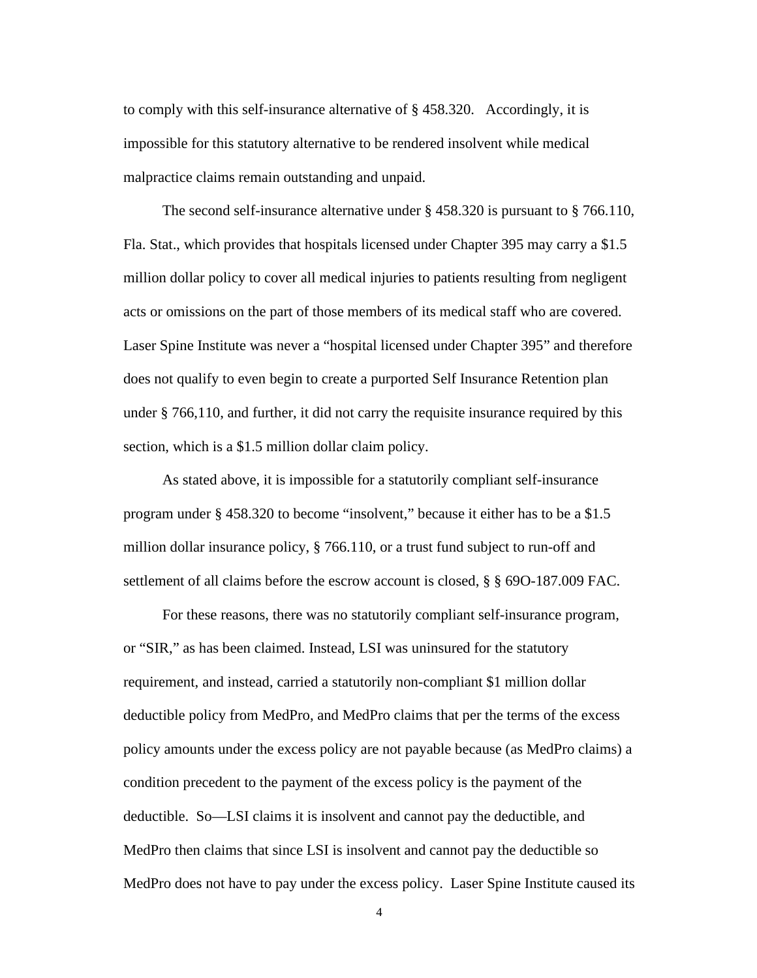to comply with this self-insurance alternative of § 458.320. Accordingly, it is impossible for this statutory alternative to be rendered insolvent while medical malpractice claims remain outstanding and unpaid.

The second self-insurance alternative under § 458.320 is pursuant to § 766.110, Fla. Stat., which provides that hospitals licensed under Chapter 395 may carry a \$1.5 million dollar policy to cover all medical injuries to patients resulting from negligent acts or omissions on the part of those members of its medical staff who are covered. Laser Spine Institute was never a "hospital licensed under Chapter 395" and therefore does not qualify to even begin to create a purported Self Insurance Retention plan under § 766,110, and further, it did not carry the requisite insurance required by this section, which is a \$1.5 million dollar claim policy.

As stated above, it is impossible for a statutorily compliant self-insurance program under § 458.320 to become "insolvent," because it either has to be a \$1.5 million dollar insurance policy, § 766.110, or a trust fund subject to run-off and settlement of all claims before the escrow account is closed, § § 69O-187.009 FAC.

For these reasons, there was no statutorily compliant self-insurance program, or "SIR," as has been claimed. Instead, LSI was uninsured for the statutory requirement, and instead, carried a statutorily non-compliant \$1 million dollar deductible policy from MedPro, and MedPro claims that per the terms of the excess policy amounts under the excess policy are not payable because (as MedPro claims) a condition precedent to the payment of the excess policy is the payment of the deductible. So—LSI claims it is insolvent and cannot pay the deductible, and MedPro then claims that since LSI is insolvent and cannot pay the deductible so MedPro does not have to pay under the excess policy. Laser Spine Institute caused its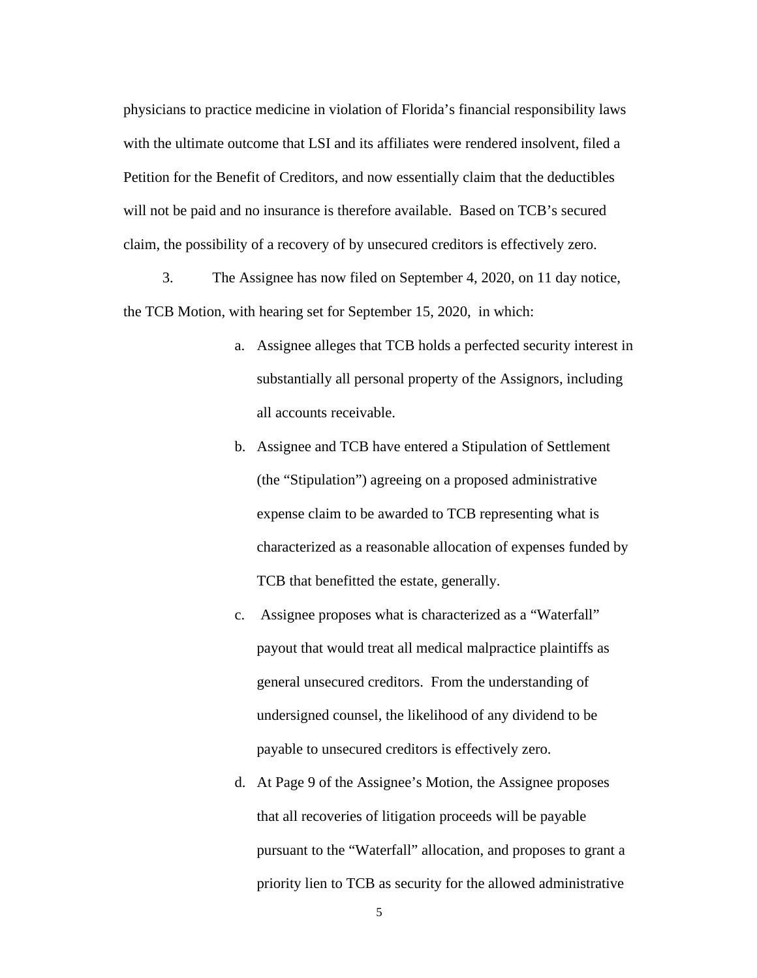physicians to practice medicine in violation of Florida's financial responsibility laws with the ultimate outcome that LSI and its affiliates were rendered insolvent, filed a Petition for the Benefit of Creditors, and now essentially claim that the deductibles will not be paid and no insurance is therefore available. Based on TCB's secured claim, the possibility of a recovery of by unsecured creditors is effectively zero.

3. The Assignee has now filed on September 4, 2020, on 11 day notice, the TCB Motion, with hearing set for September 15, 2020, in which:

- a. Assignee alleges that TCB holds a perfected security interest in substantially all personal property of the Assignors, including all accounts receivable.
- b. Assignee and TCB have entered a Stipulation of Settlement (the "Stipulation") agreeing on a proposed administrative expense claim to be awarded to TCB representing what is characterized as a reasonable allocation of expenses funded by TCB that benefitted the estate, generally.
- c. Assignee proposes what is characterized as a "Waterfall" payout that would treat all medical malpractice plaintiffs as general unsecured creditors. From the understanding of undersigned counsel, the likelihood of any dividend to be payable to unsecured creditors is effectively zero.
- d. At Page 9 of the Assignee's Motion, the Assignee proposes that all recoveries of litigation proceeds will be payable pursuant to the "Waterfall" allocation, and proposes to grant a priority lien to TCB as security for the allowed administrative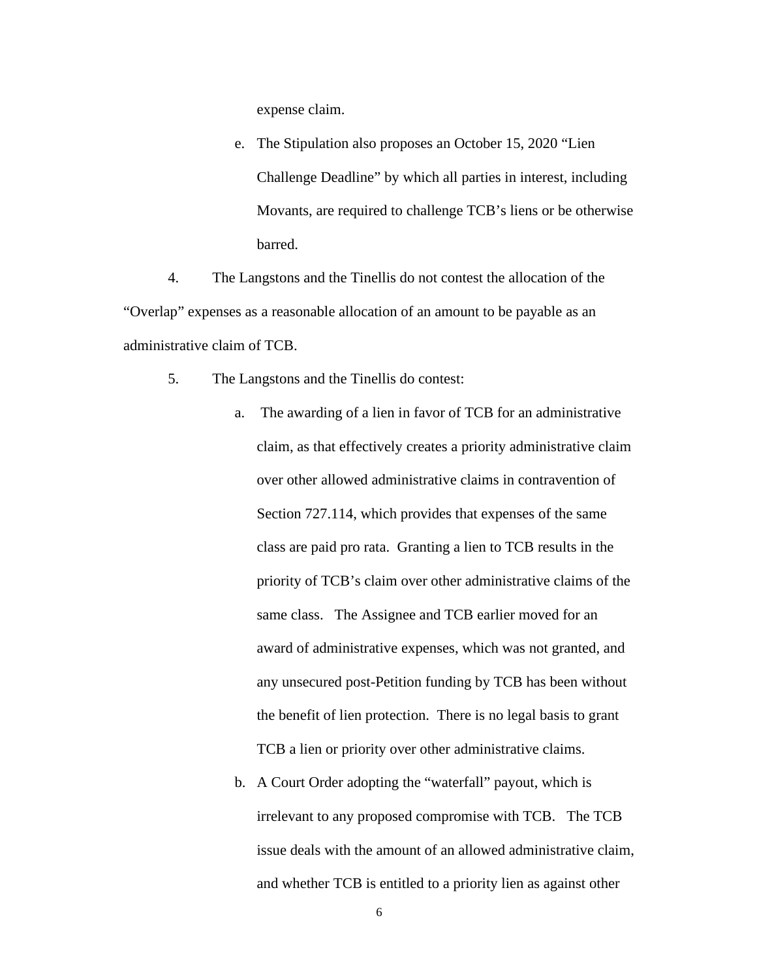expense claim.

e. The Stipulation also proposes an October 15, 2020 "Lien Challenge Deadline" by which all parties in interest, including Movants, are required to challenge TCB's liens or be otherwise barred.

4. The Langstons and the Tinellis do not contest the allocation of the "Overlap" expenses as a reasonable allocation of an amount to be payable as an administrative claim of TCB.

- 5. The Langstons and the Tinellis do contest:
	- a. The awarding of a lien in favor of TCB for an administrative claim, as that effectively creates a priority administrative claim over other allowed administrative claims in contravention of Section 727.114, which provides that expenses of the same class are paid pro rata. Granting a lien to TCB results in the priority of TCB's claim over other administrative claims of the same class. The Assignee and TCB earlier moved for an award of administrative expenses, which was not granted, and any unsecured post-Petition funding by TCB has been without the benefit of lien protection. There is no legal basis to grant TCB a lien or priority over other administrative claims.
	- b. A Court Order adopting the "waterfall" payout, which is irrelevant to any proposed compromise with TCB. The TCB issue deals with the amount of an allowed administrative claim, and whether TCB is entitled to a priority lien as against other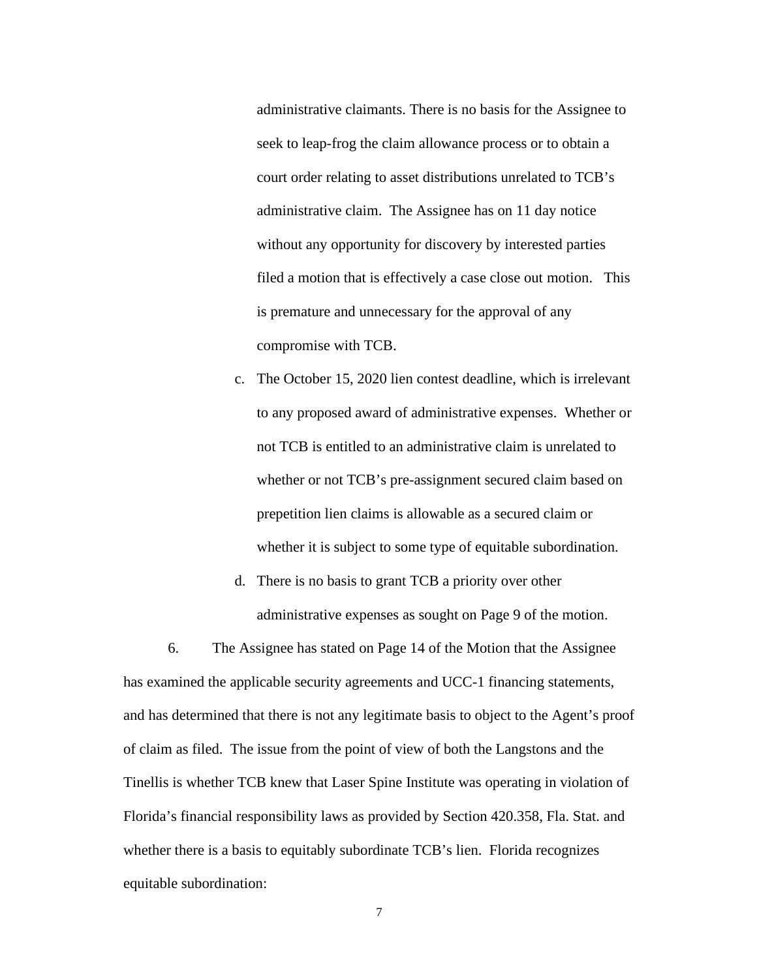administrative claimants. There is no basis for the Assignee to seek to leap-frog the claim allowance process or to obtain a court order relating to asset distributions unrelated to TCB's administrative claim. The Assignee has on 11 day notice without any opportunity for discovery by interested parties filed a motion that is effectively a case close out motion. This is premature and unnecessary for the approval of any compromise with TCB.

- c. The October 15, 2020 lien contest deadline, which is irrelevant to any proposed award of administrative expenses. Whether or not TCB is entitled to an administrative claim is unrelated to whether or not TCB's pre-assignment secured claim based on prepetition lien claims is allowable as a secured claim or whether it is subject to some type of equitable subordination.
- d. There is no basis to grant TCB a priority over other administrative expenses as sought on Page 9 of the motion.

6. The Assignee has stated on Page 14 of the Motion that the Assignee has examined the applicable security agreements and UCC-1 financing statements, and has determined that there is not any legitimate basis to object to the Agent's proof of claim as filed. The issue from the point of view of both the Langstons and the Tinellis is whether TCB knew that Laser Spine Institute was operating in violation of Florida's financial responsibility laws as provided by Section 420.358, Fla. Stat. and whether there is a basis to equitably subordinate TCB's lien. Florida recognizes equitable subordination: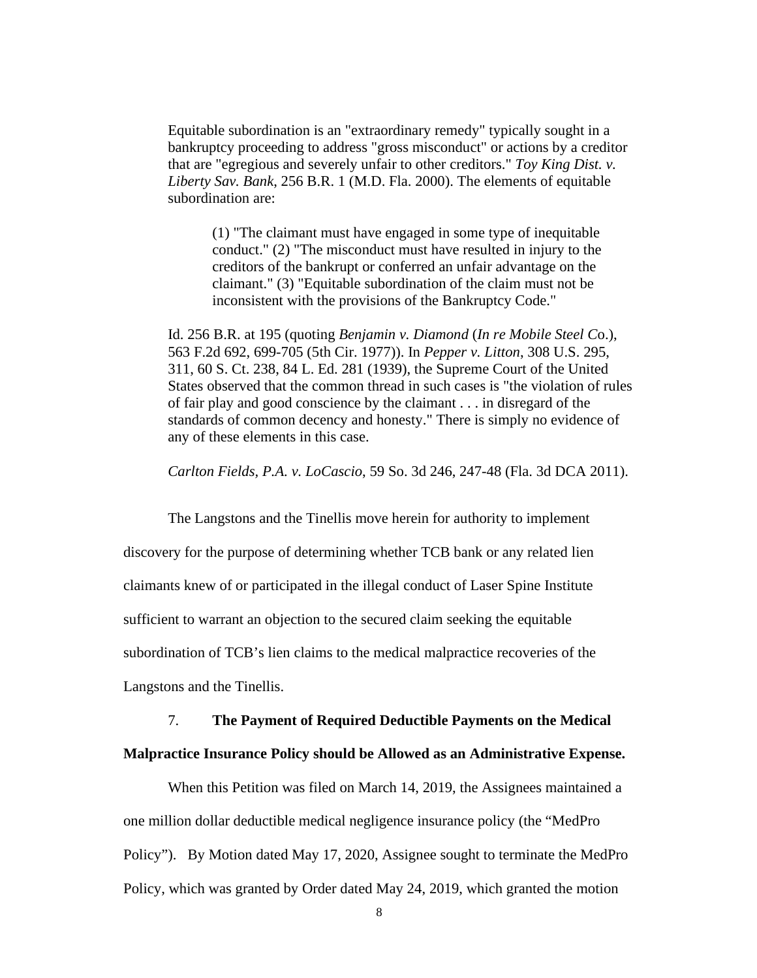Equitable subordination is an "extraordinary remedy" typically sought in a bankruptcy proceeding to address "gross misconduct" or actions by a creditor that are "egregious and severely unfair to other creditors." *Toy King Dist. v. Liberty Sav. Bank*, 256 B.R. 1 (M.D. Fla. 2000). The elements of equitable subordination are:

(1) "The claimant must have engaged in some type of inequitable conduct." (2) "The misconduct must have resulted in injury to the creditors of the bankrupt or conferred an unfair advantage on the claimant." (3) "Equitable subordination of the claim must not be inconsistent with the provisions of the Bankruptcy Code."

Id. 256 B.R. at 195 (quoting *Benjamin v. Diamond* (*In re Mobile Steel C*o.), 563 F.2d 692, 699-705 (5th Cir. 1977)). In *Pepper v. Litton*, 308 U.S. 295, 311, 60 S. Ct. 238, 84 L. Ed. 281 (1939), the Supreme Court of the United States observed that the common thread in such cases is "the violation of rules of fair play and good conscience by the claimant . . . in disregard of the standards of common decency and honesty." There is simply no evidence of any of these elements in this case.

*Carlton Fields, P.A. v. LoCascio*, 59 So. 3d 246, 247-48 (Fla. 3d DCA 2011).

The Langstons and the Tinellis move herein for authority to implement discovery for the purpose of determining whether TCB bank or any related lien claimants knew of or participated in the illegal conduct of Laser Spine Institute sufficient to warrant an objection to the secured claim seeking the equitable subordination of TCB's lien claims to the medical malpractice recoveries of the Langstons and the Tinellis.

## 7. **The Payment of Required Deductible Payments on the Medical Malpractice Insurance Policy should be Allowed as an Administrative Expense.**

When this Petition was filed on March 14, 2019, the Assignees maintained a one million dollar deductible medical negligence insurance policy (the "MedPro Policy"). By Motion dated May 17, 2020, Assignee sought to terminate the MedPro Policy, which was granted by Order dated May 24, 2019, which granted the motion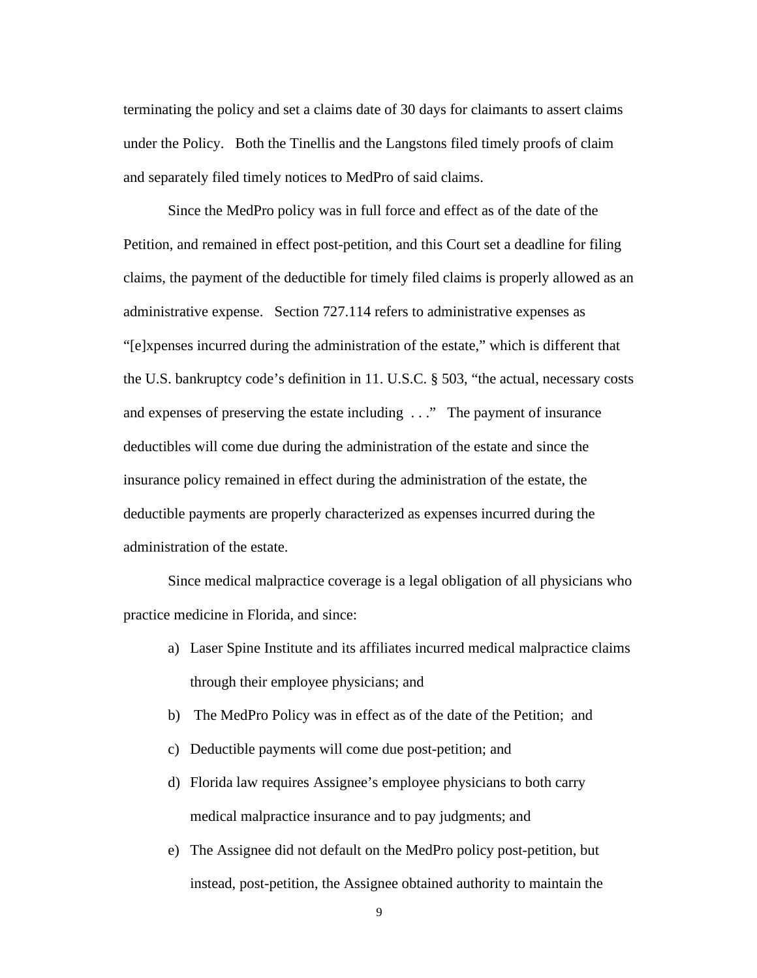terminating the policy and set a claims date of 30 days for claimants to assert claims under the Policy. Both the Tinellis and the Langstons filed timely proofs of claim and separately filed timely notices to MedPro of said claims.

Since the MedPro policy was in full force and effect as of the date of the Petition, and remained in effect post-petition, and this Court set a deadline for filing claims, the payment of the deductible for timely filed claims is properly allowed as an administrative expense. Section 727.114 refers to administrative expenses as "[e]xpenses incurred during the administration of the estate," which is different that the U.S. bankruptcy code's definition in 11. U.S.C. § 503, "the actual, necessary costs and expenses of preserving the estate including . . ." The payment of insurance deductibles will come due during the administration of the estate and since the insurance policy remained in effect during the administration of the estate, the deductible payments are properly characterized as expenses incurred during the administration of the estate.

Since medical malpractice coverage is a legal obligation of all physicians who practice medicine in Florida, and since:

- a) Laser Spine Institute and its affiliates incurred medical malpractice claims through their employee physicians; and
- b) The MedPro Policy was in effect as of the date of the Petition; and
- c) Deductible payments will come due post-petition; and
- d) Florida law requires Assignee's employee physicians to both carry medical malpractice insurance and to pay judgments; and
- e) The Assignee did not default on the MedPro policy post-petition, but instead, post-petition, the Assignee obtained authority to maintain the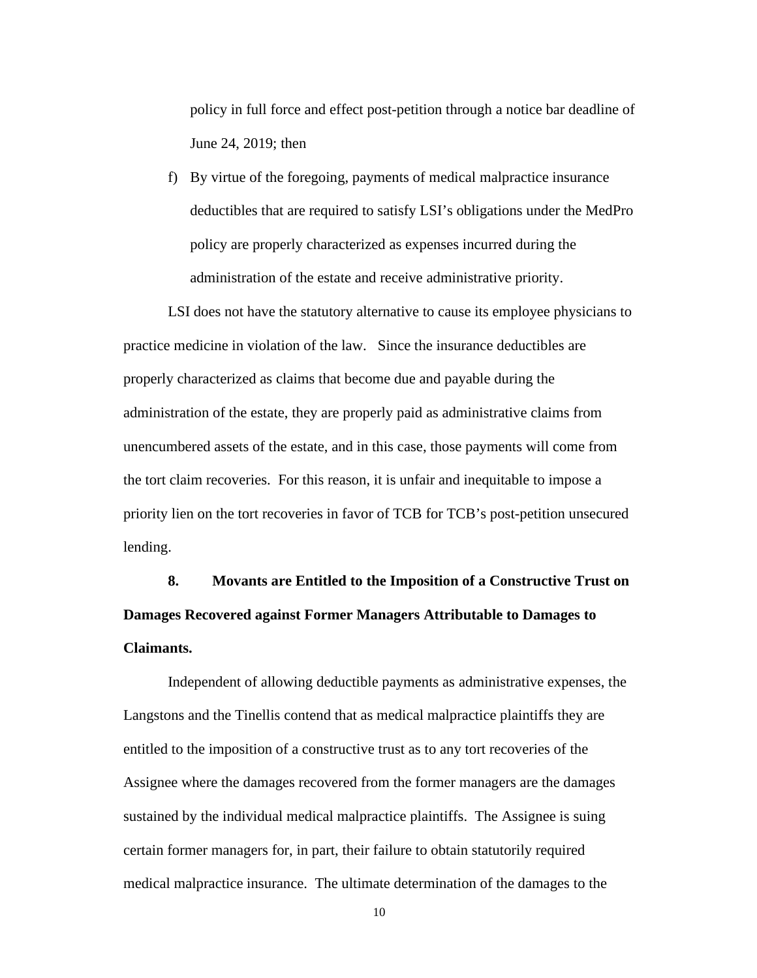policy in full force and effect post-petition through a notice bar deadline of June 24, 2019; then

f) By virtue of the foregoing, payments of medical malpractice insurance deductibles that are required to satisfy LSI's obligations under the MedPro policy are properly characterized as expenses incurred during the administration of the estate and receive administrative priority.

LSI does not have the statutory alternative to cause its employee physicians to practice medicine in violation of the law. Since the insurance deductibles are properly characterized as claims that become due and payable during the administration of the estate, they are properly paid as administrative claims from unencumbered assets of the estate, and in this case, those payments will come from the tort claim recoveries. For this reason, it is unfair and inequitable to impose a priority lien on the tort recoveries in favor of TCB for TCB's post-petition unsecured lending.

**8. Movants are Entitled to the Imposition of a Constructive Trust on Damages Recovered against Former Managers Attributable to Damages to Claimants.** 

Independent of allowing deductible payments as administrative expenses, the Langstons and the Tinellis contend that as medical malpractice plaintiffs they are entitled to the imposition of a constructive trust as to any tort recoveries of the Assignee where the damages recovered from the former managers are the damages sustained by the individual medical malpractice plaintiffs. The Assignee is suing certain former managers for, in part, their failure to obtain statutorily required medical malpractice insurance. The ultimate determination of the damages to the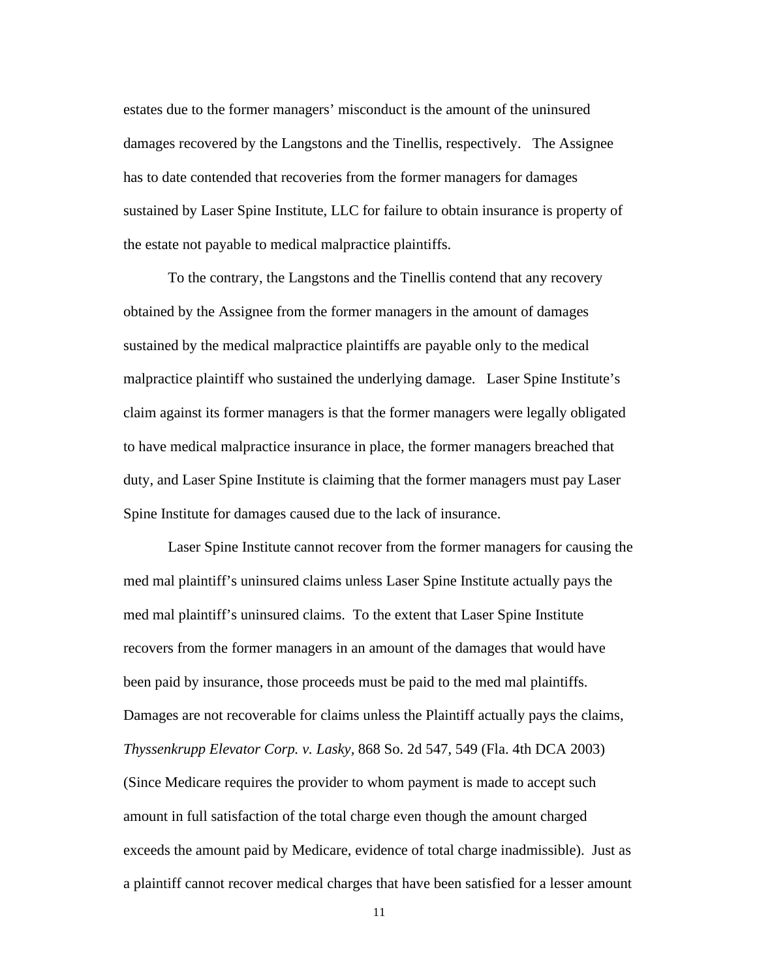estates due to the former managers' misconduct is the amount of the uninsured damages recovered by the Langstons and the Tinellis, respectively. The Assignee has to date contended that recoveries from the former managers for damages sustained by Laser Spine Institute, LLC for failure to obtain insurance is property of the estate not payable to medical malpractice plaintiffs.

To the contrary, the Langstons and the Tinellis contend that any recovery obtained by the Assignee from the former managers in the amount of damages sustained by the medical malpractice plaintiffs are payable only to the medical malpractice plaintiff who sustained the underlying damage. Laser Spine Institute's claim against its former managers is that the former managers were legally obligated to have medical malpractice insurance in place, the former managers breached that duty, and Laser Spine Institute is claiming that the former managers must pay Laser Spine Institute for damages caused due to the lack of insurance.

Laser Spine Institute cannot recover from the former managers for causing the med mal plaintiff's uninsured claims unless Laser Spine Institute actually pays the med mal plaintiff's uninsured claims. To the extent that Laser Spine Institute recovers from the former managers in an amount of the damages that would have been paid by insurance, those proceeds must be paid to the med mal plaintiffs. Damages are not recoverable for claims unless the Plaintiff actually pays the claims, *Thyssenkrupp Elevator Corp. v. Lasky,* 868 So. 2d 547, 549 (Fla. 4th DCA 2003) (Since Medicare requires the provider to whom payment is made to accept such amount in full satisfaction of the total charge even though the amount charged exceeds the amount paid by Medicare, evidence of total charge inadmissible). Just as a plaintiff cannot recover medical charges that have been satisfied for a lesser amount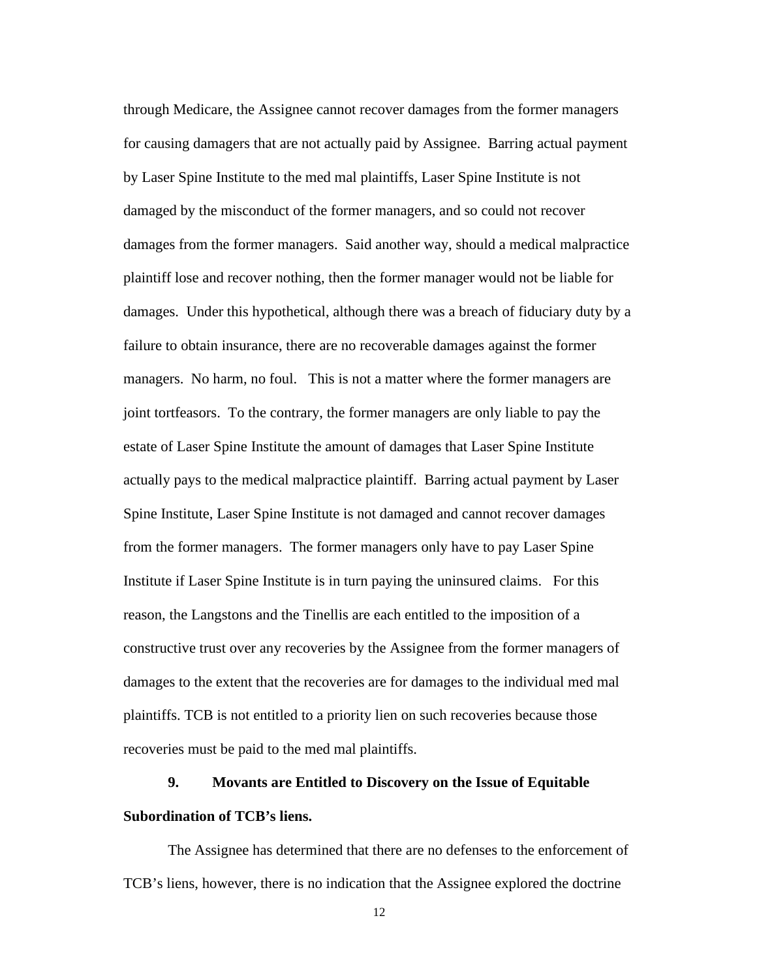through Medicare, the Assignee cannot recover damages from the former managers for causing damagers that are not actually paid by Assignee. Barring actual payment by Laser Spine Institute to the med mal plaintiffs, Laser Spine Institute is not damaged by the misconduct of the former managers, and so could not recover damages from the former managers. Said another way, should a medical malpractice plaintiff lose and recover nothing, then the former manager would not be liable for damages. Under this hypothetical, although there was a breach of fiduciary duty by a failure to obtain insurance, there are no recoverable damages against the former managers. No harm, no foul. This is not a matter where the former managers are joint tortfeasors. To the contrary, the former managers are only liable to pay the estate of Laser Spine Institute the amount of damages that Laser Spine Institute actually pays to the medical malpractice plaintiff. Barring actual payment by Laser Spine Institute, Laser Spine Institute is not damaged and cannot recover damages from the former managers. The former managers only have to pay Laser Spine Institute if Laser Spine Institute is in turn paying the uninsured claims. For this reason, the Langstons and the Tinellis are each entitled to the imposition of a constructive trust over any recoveries by the Assignee from the former managers of damages to the extent that the recoveries are for damages to the individual med mal plaintiffs. TCB is not entitled to a priority lien on such recoveries because those recoveries must be paid to the med mal plaintiffs.

## **9. Movants are Entitled to Discovery on the Issue of Equitable Subordination of TCB's liens.**

The Assignee has determined that there are no defenses to the enforcement of TCB's liens, however, there is no indication that the Assignee explored the doctrine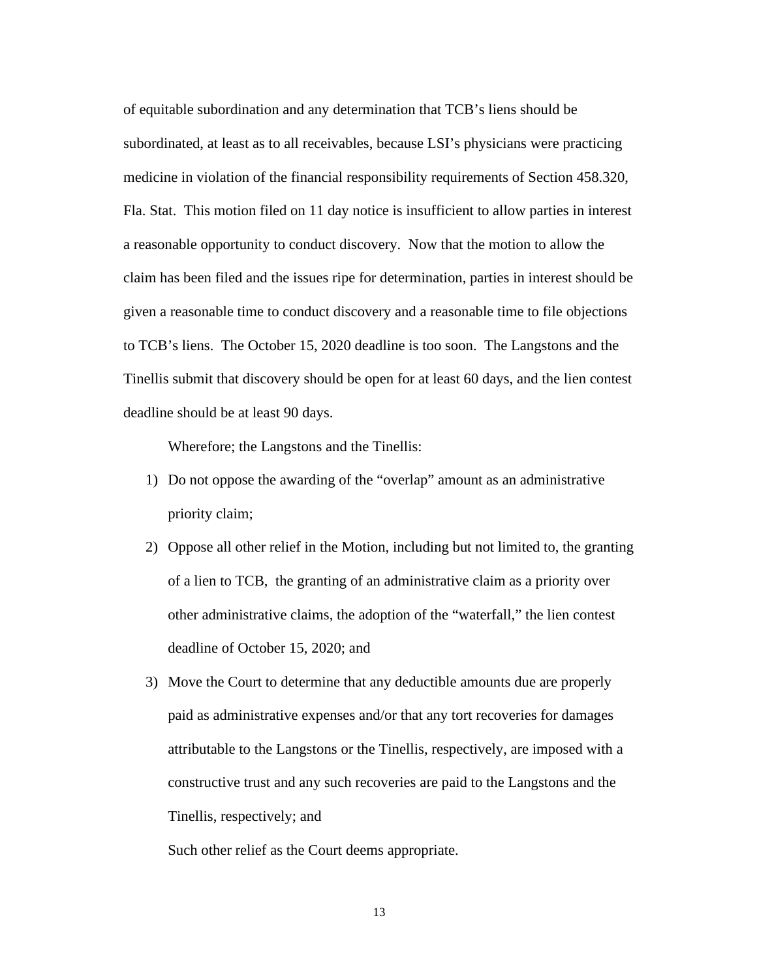of equitable subordination and any determination that TCB's liens should be subordinated, at least as to all receivables, because LSI's physicians were practicing medicine in violation of the financial responsibility requirements of Section 458.320, Fla. Stat. This motion filed on 11 day notice is insufficient to allow parties in interest a reasonable opportunity to conduct discovery. Now that the motion to allow the claim has been filed and the issues ripe for determination, parties in interest should be given a reasonable time to conduct discovery and a reasonable time to file objections to TCB's liens. The October 15, 2020 deadline is too soon. The Langstons and the Tinellis submit that discovery should be open for at least 60 days, and the lien contest deadline should be at least 90 days.

Wherefore; the Langstons and the Tinellis:

- 1) Do not oppose the awarding of the "overlap" amount as an administrative priority claim;
- 2) Oppose all other relief in the Motion, including but not limited to, the granting of a lien to TCB, the granting of an administrative claim as a priority over other administrative claims, the adoption of the "waterfall," the lien contest deadline of October 15, 2020; and
- 3) Move the Court to determine that any deductible amounts due are properly paid as administrative expenses and/or that any tort recoveries for damages attributable to the Langstons or the Tinellis, respectively, are imposed with a constructive trust and any such recoveries are paid to the Langstons and the Tinellis, respectively; and

Such other relief as the Court deems appropriate.